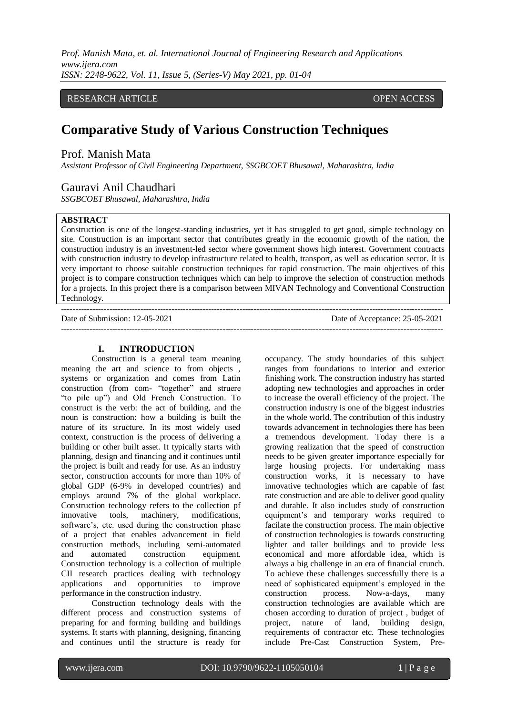*Prof. Manish Mata, et. al. International Journal of Engineering Research and Applications www.ijera.com ISSN: 2248-9622, Vol. 11, Issue 5, (Series-V) May 2021, pp. 01-04*

# RESEARCH ARTICLE **CONTRACT OPEN ACCESS**

# **Comparative Study of Various Construction Techniques**

# Prof. Manish Mata

*Assistant Professor of Civil Engineering Department, SSGBCOET Bhusawal, Maharashtra, India*

# Gauravi Anil Chaudhari

*SSGBCOET Bhusawal, Maharashtra, India*

# **ABSTRACT**

Construction is one of the longest-standing industries, yet it has struggled to get good, simple technology on site. Construction is an important sector that contributes greatly in the economic growth of the nation, the construction industry is an investment-led sector where government shows high interest. Government contracts with construction industry to develop infrastructure related to health, transport, as well as education sector. It is very important to choose suitable construction techniques for rapid construction. The main objectives of this project is to compare construction techniques which can help to improve the selection of construction methods for a projects. In this project there is a comparison between MIVAN Technology and Conventional Construction Technology.

| Date of Submission: 12-05-2021 | Date of Acceptance: 25-05-2021 |
|--------------------------------|--------------------------------|
|                                |                                |

## **I. INTRODUCTION**

Construction is a general team meaning meaning the art and science to from objects , systems or organization and comes from Latin construction (from com- "together" and struere "to pile up") and Old French Construction. To construct is the verb: the act of building, and the noun is construction: how a building is built the nature of its structure. In its most widely used context, construction is the process of delivering a building or other built asset. It typically starts with planning, design and financing and it continues until the project is built and ready for use. As an industry sector, construction accounts for more than 10% of global GDP (6-9% in developed countries) and employs around 7% of the global workplace. Construction technology refers to the collection pf innovative tools, machinery, modifications, software's, etc. used during the construction phase of a project that enables advancement in field construction methods, including semi-automated and automated construction equipment. Construction technology is a collection of multiple CII research practices dealing with technology applications and opportunities to improve performance in the construction industry.

Construction technology deals with the different process and construction systems of preparing for and forming building and buildings systems. It starts with planning, designing, financing and continues until the structure is ready for occupancy. The study boundaries of this subject ranges from foundations to interior and exterior finishing work. The construction industry has started adopting new technologies and approaches in order to increase the overall efficiency of the project. The construction industry is one of the biggest industries in the whole world. The contribution of this industry towards advancement in technologies there has been a tremendous development. Today there is a growing realization that the speed of construction needs to be given greater importance especially for large housing projects. For undertaking mass construction works, it is necessary to have innovative technologies which are capable of fast rate construction and are able to deliver good quality and durable. It also includes study of construction equipment's and temporary works required to facilate the construction process. The main objective of construction technologies is towards constructing lighter and taller buildings and to provide less economical and more affordable idea, which is always a big challenge in an era of financial crunch. To achieve these challenges successfully there is a need of sophisticated equipment's employed in the construction process. Now-a-days, many construction technologies are available which are chosen according to duration of project , budget of project, nature of land, building design, requirements of contractor etc. These technologies include Pre-Cast Construction System, Pre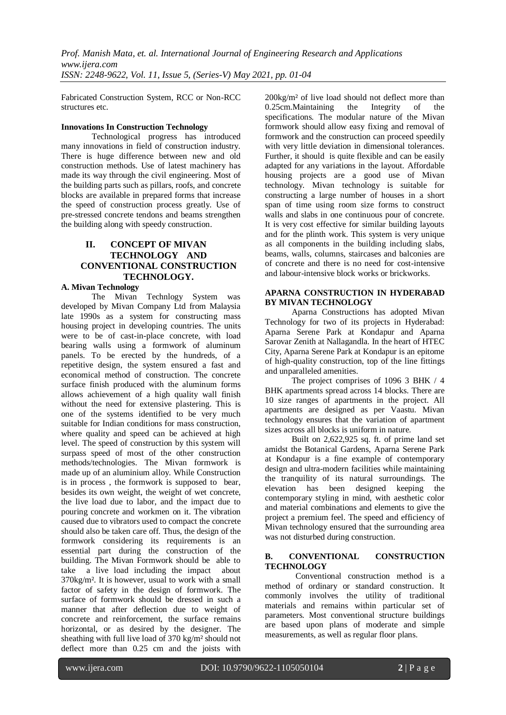Fabricated Construction System, RCC or Non-RCC structures etc.

#### **Innovations In Construction Technology**

Technological progress has introduced many innovations in field of construction industry. There is huge difference between new and old construction methods. Use of latest machinery has made its way through the civil engineering. Most of the building parts such as pillars, roofs, and concrete blocks are available in prepared forms that increase the speed of construction process greatly. Use of pre-stressed concrete tendons and beams strengthen the building along with speedy construction.

# **II. CONCEPT OF MIVAN TECHNOLOGY AND CONVENTIONAL CONSTRUCTION TECHNOLOGY.**

## **A. Mivan Technology**

The Mivan Technlogy System was developed by Mivan Company Ltd from Malaysia late 1990s as a system for constructing mass housing project in developing countries. The units were to be of cast-in-place concrete, with load bearing walls using a formwork of aluminum panels. To be erected by the hundreds, of a repetitive design, the system ensured a fast and economical method of construction. The concrete surface finish produced with the aluminum forms allows achievement of a high quality wall finish without the need for extensive plastering. This is one of the systems identified to be very much suitable for Indian conditions for mass construction, where quality and speed can be achieved at high level. The speed of construction by this system will surpass speed of most of the other construction methods/technologies. The Mivan formwork is made up of an aluminium alloy. While Construction is in process , the formwork is supposed to bear, besides its own weight, the weight of wet concrete, the live load due to labor, and the impact due to pouring concrete and workmen on it. The vibration caused due to vibrators used to compact the concrete should also be taken care off. Thus, the design of the formwork considering its requirements is an essential part during the construction of the building. The Mivan Formwork should be able to take a live load including the impact about 370kg/m². It is however, usual to work with a small factor of safety in the design of formwork. The surface of formwork should be dressed in such a manner that after deflection due to weight of concrete and reinforcement, the surface remains horizontal, or as desired by the designer. The sheathing with full live load of 370 kg/m² should not deflect more than 0.25 cm and the joists with 200kg/m² of live load should not deflect more than 0.25cm.Maintaining the Integrity of the specifications. The modular nature of the Mivan formwork should allow easy fixing and removal of formwork and the construction can proceed speedily with very little deviation in dimensional tolerances. Further, it should is quite flexible and can be easily adapted for any variations in the layout. Affordable housing projects are a good use of Mivan technology. Mivan technology is suitable for constructing a large number of houses in a short span of time using room size forms to construct walls and slabs in one continuous pour of concrete. It is very cost effective for similar building layouts and for the plinth work. This system is very unique as all components in the building including slabs, beams, walls, columns, staircases and balconies are of concrete and there is no need for cost-intensive and labour-intensive block works or brickworks.

#### **APARNA CONSTRUCTION IN HYDERABAD BY MIVAN TECHNOLOGY**

Aparna Constructions has adopted Mivan Technology for two of its projects in Hyderabad: Aparna Serene Park at Kondapur and Aparna Sarovar Zenith at Nallagandla. In the heart of HTEC City, Aparna Serene Park at Kondapur is an epitome of high-quality construction, top of the line fittings and unparalleled amenities.

The project comprises of 1096 3 BHK / 4 BHK apartments spread across 14 blocks. There are 10 size ranges of apartments in the project. All apartments are designed as per Vaastu. Mivan technology ensures that the variation of apartment sizes across all blocks is uniform in nature.

Built on 2,622,925 sq. ft. of prime land set amidst the Botanical Gardens, Aparna Serene Park at Kondapur is a fine example of contemporary design and ultra-modern facilities while maintaining the tranquility of its natural surroundings. The elevation has been designed keeping the contemporary styling in mind, with aesthetic color and material combinations and elements to give the project a premium feel. The speed and efficiency of Mivan technology ensured that the surrounding area was not disturbed during construction.

#### **B. CONVENTIONAL CONSTRUCTION TECHNOLOGY**

Conventional construction method is a method of ordinary or standard construction. It commonly involves the utility of traditional materials and remains within particular set of parameters. Most conventional structure buildings are based upon plans of moderate and simple measurements, as well as regular floor plans.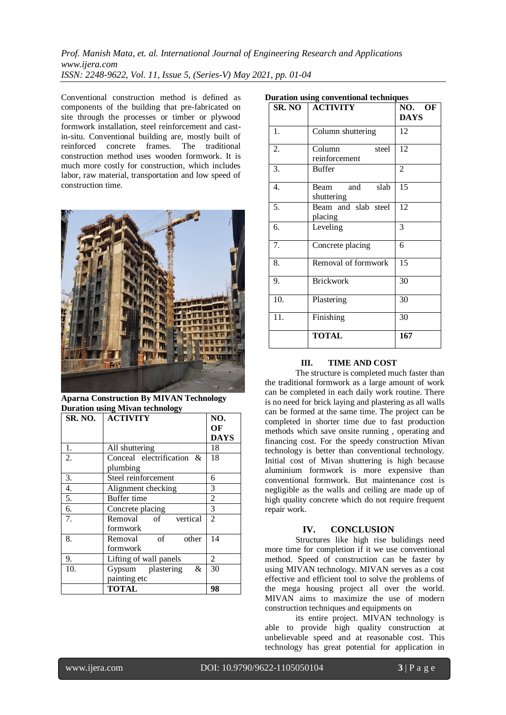*Prof. Manish Mata, et. al. International Journal of Engineering Research and Applications www.ijera.com ISSN: 2248-9622, Vol. 11, Issue 5, (Series-V) May 2021, pp. 01-04*

Conventional construction method is defined as components of the building that pre-fabricated on site through the processes or timber or plywood formwork installation, steel reinforcement and castin-situ. Conventional building are, mostly built of reinforced concrete frames. The traditional construction method uses wooden formwork. It is much more costly for construction, which includes labor, raw material, transportation and low speed of construction time.



**Aparna Construction By MIVAN Technology Duration using Mivan technology**

| <b>SR. NO.</b> | <b>ACTIVITY</b>           | NO.            |
|----------------|---------------------------|----------------|
|                |                           | OF             |
|                |                           | <b>DAYS</b>    |
| 1.             | All shuttering            | 18             |
| 2.             | Conceal electrification & | 18             |
|                | plumbing                  |                |
| 3.             | Steel reinforcement       | 6              |
| 4.             | Alignment checking        | 3              |
| 5.             | Buffer time               | $\overline{2}$ |
| 6.             | Concrete placing          | 3              |
| 7.             | Removal of<br>vertical    | $\overline{2}$ |
|                | formwork                  |                |
| 8.             | of<br>Removal<br>other    | 14             |
|                | formwork                  |                |
| 9.             | Lifting of wall panels    | 2              |
| 10.            | Gypsum plastering<br>&    | 30             |
|                | painting etc              |                |
|                | <b>TOTAL</b>              | 98             |

| <b>Duration using conventional techniques</b> |  |
|-----------------------------------------------|--|
|-----------------------------------------------|--|

| SR. NO | <b>ACTIVITY</b>                  | NO. OF<br><b>DAYS</b> |
|--------|----------------------------------|-----------------------|
| 1.     | Column shuttering                | 12                    |
| 2.     | Column<br>steel<br>reinforcement | 12                    |
| 3.     | <b>Buffer</b>                    | $\overline{c}$        |
| 4.     | Beam and slab<br>shuttering      | 15                    |
| 5.     | Beam and slab steel<br>placing   | 12                    |
| 6.     | Leveling                         | 3                     |
| 7.     | Concrete placing                 | 6                     |
| 8.     | Removal of formwork              | 15                    |
| 9.     | <b>Brickwork</b>                 | 30                    |
| 10.    | Plastering                       | 30                    |
| 11.    | Finishing                        | 30                    |
|        | <b>TOTAL</b>                     | 167                   |

#### **III. TIME AND COST**

The structure is completed much faster than the traditional formwork as a large amount of work can be completed in each daily work routine. There is no need for brick laying and plastering as all walls can be formed at the same time. The project can be completed in shorter time due to fast production methods which save onsite running , operating and financing cost. For the speedy construction Mivan technology is better than conventional technology. Initial cost of Mivan shuttering is high because aluminium formwork is more expensive than conventional formwork. But maintenance cost is negligible as the walls and ceiling are made up of high quality concrete which do not require frequent repair work.

#### **IV. CONCLUSION**

Structures like high rise bulidings need more time for completion if it we use conventional method. Speed of construction can be faster by using MIVAN technology. MIVAN serves as a cost effective and efficient tool to solve the problems of the mega housing project all over the world. MIVAN aims to maximize the use of modern construction techniques and equipments on

its entire project. MIVAN technology is able to provide high quality construction at unbelievable speed and at reasonable cost. This technology has great potential for application in